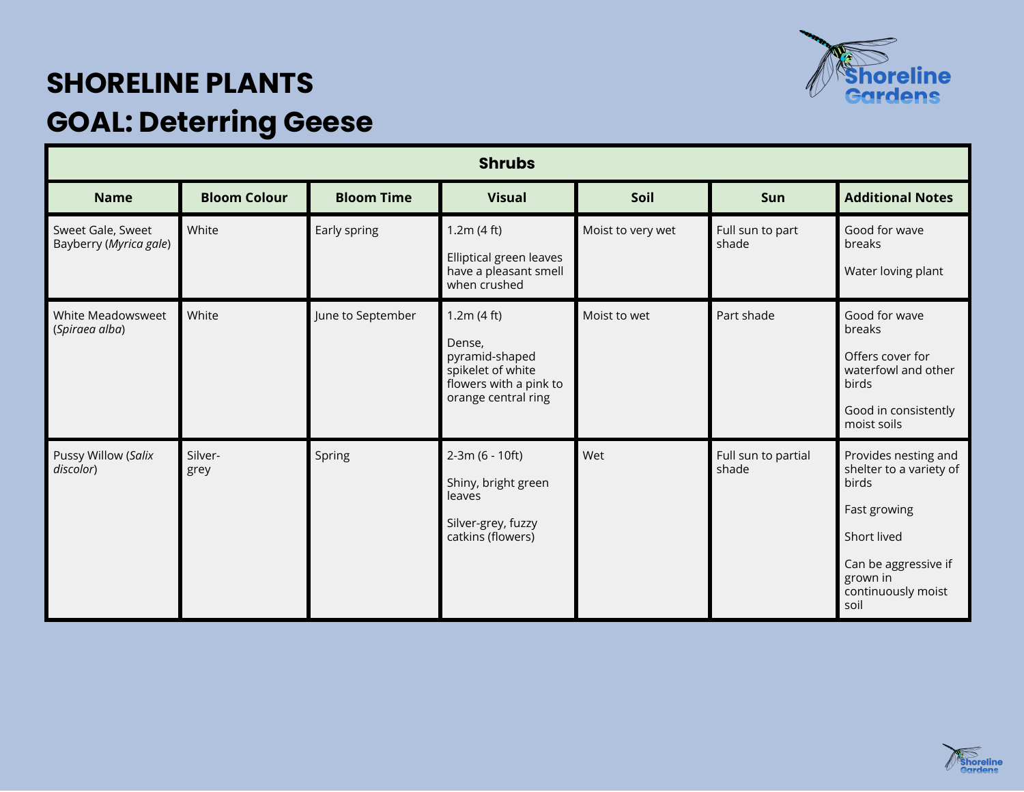

## **SHORELINE PLANTS GOAL: Deterring Geese**

| <b>Shrubs</b>                               |                     |                   |                                                                                                              |                   |                              |                                                                                                                                                           |  |
|---------------------------------------------|---------------------|-------------------|--------------------------------------------------------------------------------------------------------------|-------------------|------------------------------|-----------------------------------------------------------------------------------------------------------------------------------------------------------|--|
| <b>Name</b>                                 | <b>Bloom Colour</b> | <b>Bloom Time</b> | <b>Visual</b>                                                                                                | Soil              | <b>Sun</b>                   | <b>Additional Notes</b>                                                                                                                                   |  |
| Sweet Gale, Sweet<br>Bayberry (Myrica gale) | White               | Early spring      | 1.2m(4 ft)<br>Elliptical green leaves<br>have a pleasant smell<br>when crushed                               | Moist to very wet | Full sun to part<br>shade    | Good for wave<br>breaks<br>Water loving plant                                                                                                             |  |
| White Meadowsweet<br>(Spiraea alba)         | White               | June to September | 1.2m(4 ft)<br>Dense,<br>pyramid-shaped<br>spikelet of white<br>flowers with a pink to<br>orange central ring | Moist to wet      | Part shade                   | Good for wave<br>breaks<br>Offers cover for<br>waterfowl and other<br>birds<br>Good in consistently<br>moist soils                                        |  |
| Pussy Willow (Salix<br>discolor)            | Silver-<br>grey     | Spring            | 2-3m (6 - 10ft)<br>Shiny, bright green<br>leaves<br>Silver-grey, fuzzy<br>catkins (flowers)                  | Wet               | Full sun to partial<br>shade | Provides nesting and<br>shelter to a variety of<br>birds<br>Fast growing<br>Short lived<br>Can be aggressive if<br>grown in<br>continuously moist<br>soil |  |

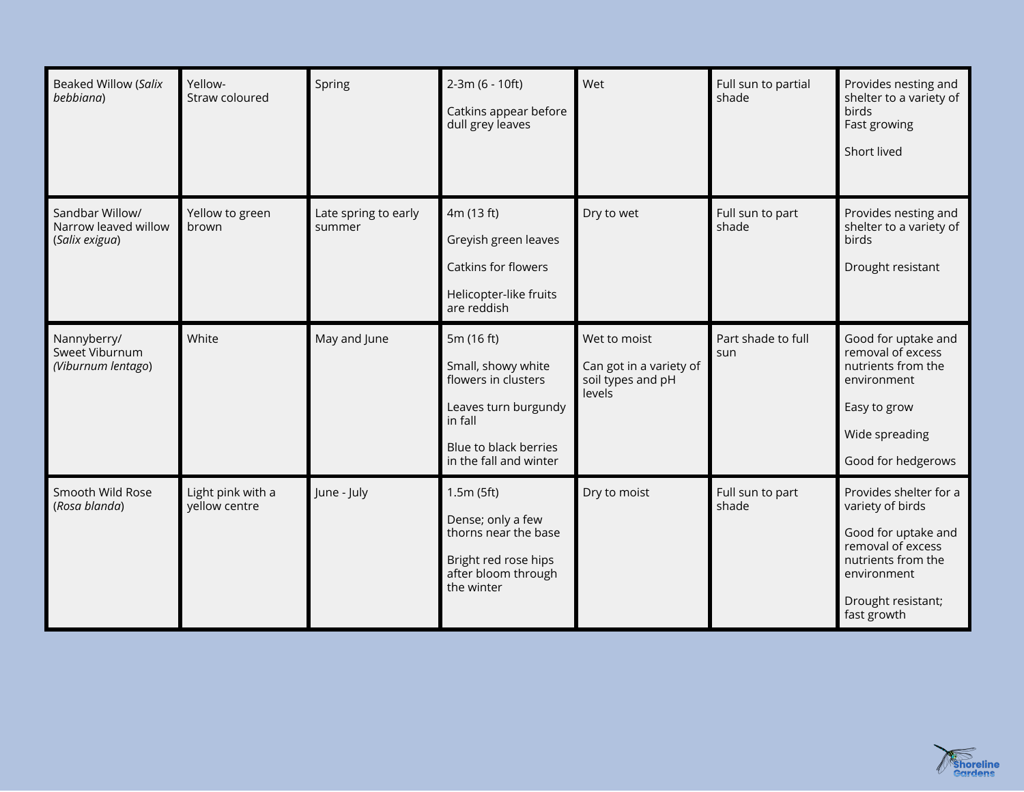| <b>Beaked Willow (Salix</b><br>bebbiana)                  | Yellow-<br>Straw coloured          | Spring                         | 2-3m (6 - 10ft)<br>Catkins appear before<br>dull grey leaves                                                                                  | Wet                                                                    | Full sun to partial<br>shade | Provides nesting and<br>shelter to a variety of<br>birds<br>Fast growing<br>Short lived                                                                          |
|-----------------------------------------------------------|------------------------------------|--------------------------------|-----------------------------------------------------------------------------------------------------------------------------------------------|------------------------------------------------------------------------|------------------------------|------------------------------------------------------------------------------------------------------------------------------------------------------------------|
| Sandbar Willow/<br>Narrow leaved willow<br>(Salix exigua) | Yellow to green<br>brown           | Late spring to early<br>summer | 4m (13 ft)<br>Greyish green leaves<br>Catkins for flowers<br>Helicopter-like fruits<br>are reddish                                            | Dry to wet                                                             | Full sun to part<br>shade    | Provides nesting and<br>shelter to a variety of<br>birds<br>Drought resistant                                                                                    |
| Nannyberry/<br>Sweet Viburnum<br>(Viburnum lentago)       | White                              | May and June                   | 5m (16 ft)<br>Small, showy white<br>flowers in clusters<br>Leaves turn burgundy<br>in fall<br>Blue to black berries<br>in the fall and winter | Wet to moist<br>Can got in a variety of<br>soil types and pH<br>levels | Part shade to full<br>sun    | Good for uptake and<br>removal of excess<br>nutrients from the<br>environment<br>Easy to grow<br>Wide spreading<br>Good for hedgerows                            |
| Smooth Wild Rose<br>(Rosa blanda)                         | Light pink with a<br>yellow centre | June - July                    | 1.5m(5ft)<br>Dense; only a few<br>thorns near the base<br>Bright red rose hips<br>after bloom through<br>the winter                           | Dry to moist                                                           | Full sun to part<br>shade    | Provides shelter for a<br>variety of birds<br>Good for uptake and<br>removal of excess<br>nutrients from the<br>environment<br>Drought resistant;<br>fast growth |

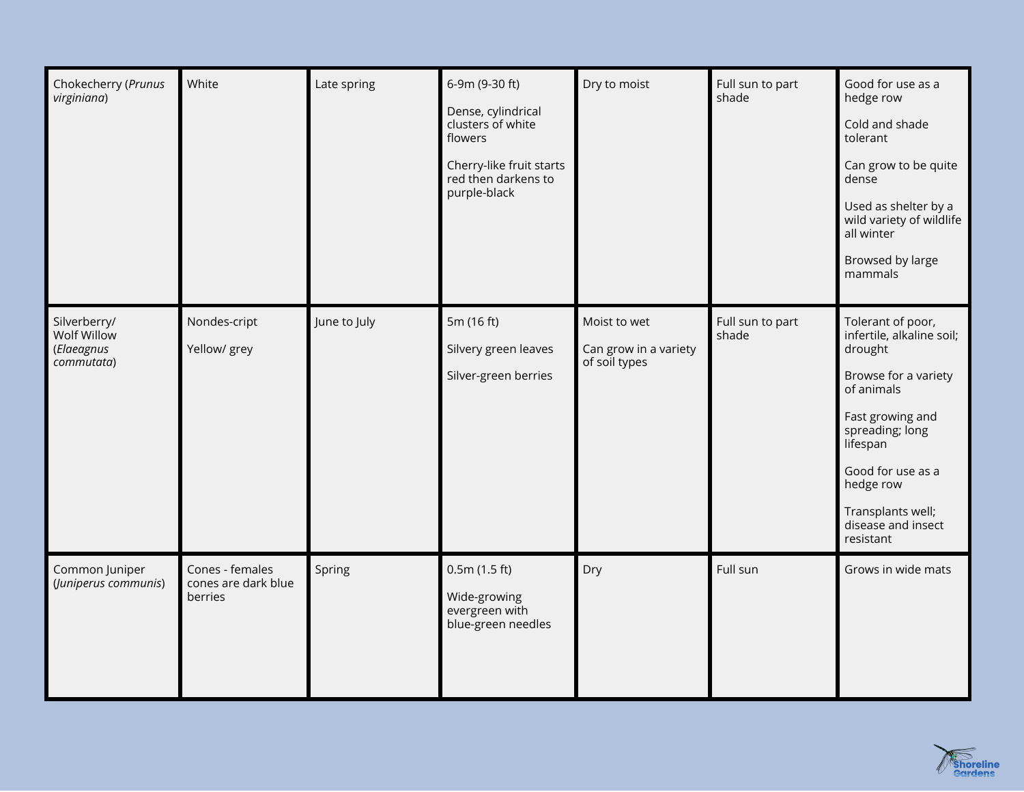| Chokecherry (Prunus<br>virginiana)                      | White                                             | Late spring  | 6-9m (9-30 ft)<br>Dense, cylindrical<br>clusters of white<br>flowers<br>Cherry-like fruit starts<br>red then darkens to<br>purple-black | Dry to moist                                           | Full sun to part<br>shade | Good for use as a<br>hedge row<br>Cold and shade<br>tolerant<br>Can grow to be quite<br>dense<br>Used as shelter by a<br>wild variety of wildlife<br>all winter<br>Browsed by large<br>mammals                                               |
|---------------------------------------------------------|---------------------------------------------------|--------------|-----------------------------------------------------------------------------------------------------------------------------------------|--------------------------------------------------------|---------------------------|----------------------------------------------------------------------------------------------------------------------------------------------------------------------------------------------------------------------------------------------|
| Silverberry/<br>Wolf Willow<br>(Elaeagnus<br>commutata) | Nondes-cript<br>Yellow/ grey                      | June to July | 5m (16 ft)<br>Silvery green leaves<br>Silver-green berries                                                                              | Moist to wet<br>Can grow in a variety<br>of soil types | Full sun to part<br>shade | Tolerant of poor,<br>infertile, alkaline soil;<br>drought<br>Browse for a variety<br>of animals<br>Fast growing and<br>spreading; long<br>lifespan<br>Good for use as a<br>hedge row<br>Transplants well;<br>disease and insect<br>resistant |
| Common Juniper<br>(Juniperus communis)                  | Cones - females<br>cones are dark blue<br>berries | Spring       | 0.5m(1.5 ft)<br>Wide-growing<br>evergreen with<br>blue-green needles                                                                    | Dry                                                    | Full sun                  | Grows in wide mats                                                                                                                                                                                                                           |